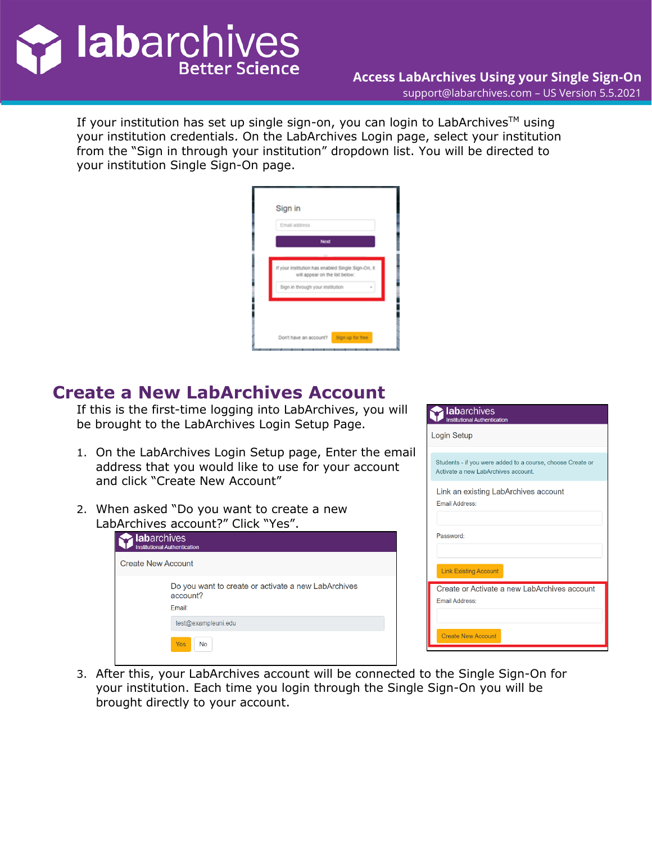

If your institution has set up single sign-on, you can login to LabArchives<sup>TM</sup> using your institution credentials. On the LabArchives Login page, select your institution from the "Sign in through your institution" dropdown list. You will be directed to your institution Single Sign-On page.

| Email address |                                                                                      |
|---------------|--------------------------------------------------------------------------------------|
|               | <b>Next</b>                                                                          |
|               | <b>Profit</b>                                                                        |
|               | If your institution has enabled Single Sign-On, it<br>will appear on the list below: |
|               | Sign in through your institution                                                     |
|               |                                                                                      |
|               |                                                                                      |
|               |                                                                                      |

## **Create a New LabArchives Account**

If this is the first-time logging into LabArchives, you will be brought to the LabArchives Login Setup Page.

- 1. On the LabArchives Login Setup page, Enter the email address that you would like to use for your account and click "Create New Account"
- 2. When asked "Do you want to create a new LabArchives account?" Click "Yes".

| labarchives        | <b>Institutional Authentication</b>                                       |
|--------------------|---------------------------------------------------------------------------|
| Create New Account |                                                                           |
|                    | Do you want to create or activate a new LabArchives<br>account?<br>Email: |
|                    | test@exampleuni.edu                                                       |
|                    | <b>Yes</b><br><b>No</b>                                                   |

| <b>lab</b> archives<br><b>Institutional Authentication</b>                                        |
|---------------------------------------------------------------------------------------------------|
| Login Setup                                                                                       |
| Students - if you were added to a course, choose Create or<br>Activate a new LabArchives account. |
| Link an existing LabArchives account<br><b>Email Address:</b>                                     |
| Password:                                                                                         |
| <b>Link Existing Account</b>                                                                      |
| Create or Activate a new LabArchives account<br><b>Email Address:</b>                             |
| <b>Create New Account</b>                                                                         |

3. After this, your LabArchives account will be connected to the Single Sign-On for your institution. Each time you login through the Single Sign-On you will be brought directly to your account.